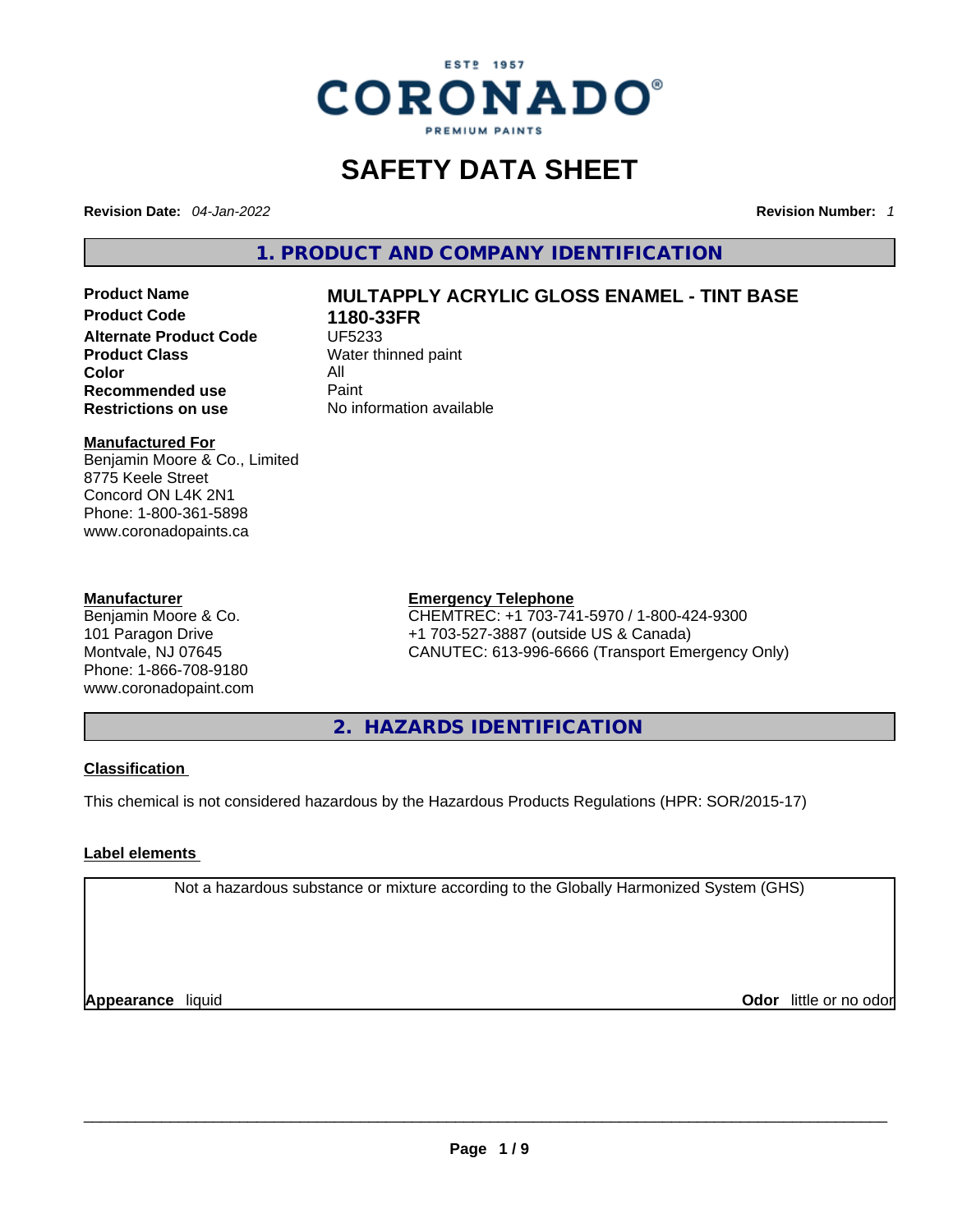

# **SAFETY DATA SHEET**

**Revision Date:** *04-Jan-2022* **Revision Number:** *1*

**1. PRODUCT AND COMPANY IDENTIFICATION** 

**Product Code 1180-33FR Alternate Product Code CODE UF5233 Product Class Water thinned paint**<br> **Color Color** All **Recommended use** Paint<br> **Restrictions on use** Mo information available **Restrictions** on use

# **Product Name MULTAPPLY ACRYLIC GLOSS ENAMEL - TINT BASE**

### **Manufactured For**

Benjamin Moore & Co., Limited 8775 Keele Street Concord ON L4K 2N1 Phone: 1-800-361-5898 www.coronadopaints.ca

# **Manufacturer**

Benjamin Moore & Co. 101 Paragon Drive Montvale, NJ 07645 Phone: 1-866-708-9180 www.coronadopaint.com

# **Emergency Telephone**

CHEMTREC: +1 703-741-5970 / 1-800-424-9300 +1 703-527-3887 (outside US & Canada) CANUTEC: 613-996-6666 (Transport Emergency Only)

**2. HAZARDS IDENTIFICATION** 

# **Classification**

This chemical is not considered hazardous by the Hazardous Products Regulations (HPR: SOR/2015-17)

# **Label elements**

Not a hazardous substance or mixture according to the Globally Harmonized System (GHS)

**Appearance** liquid **Odor** little or no odor<br> **Appearance** liquid<br> **Odor** little or no odor **Odor** little or no odor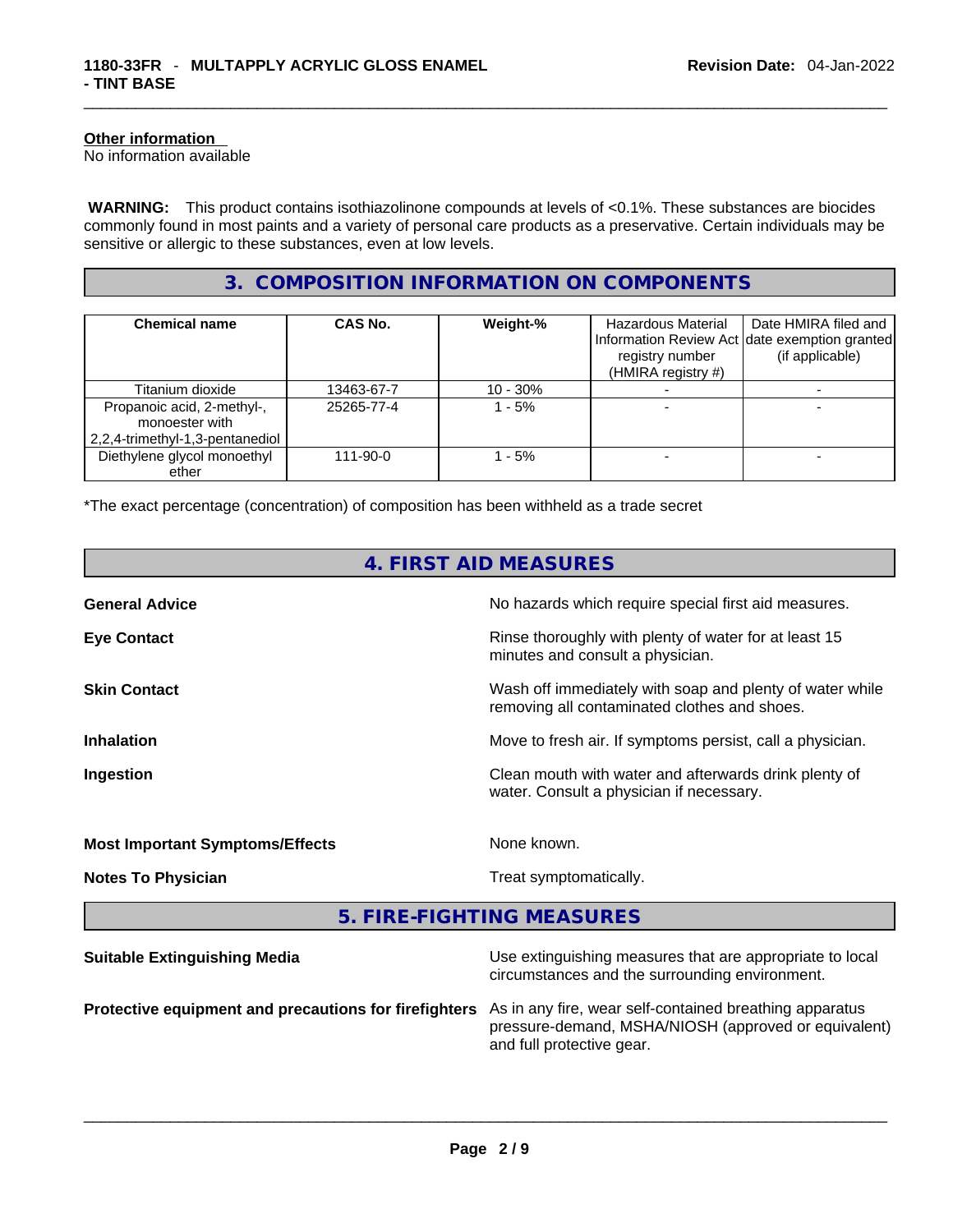# **Other information**

No information available

 **WARNING:** This product contains isothiazolinone compounds at levels of <0.1%. These substances are biocides commonly found in most paints and a variety of personal care products as a preservative. Certain individuals may be sensitive or allergic to these substances, even at low levels.

# **3. COMPOSITION INFORMATION ON COMPONENTS**

| <b>Chemical name</b>                                                            | CAS No.    | Weight-%   | <b>Hazardous Material</b><br>registry number<br>(HMIRA registry #) | Date HMIRA filed and<br>Information Review Act Idate exemption granted<br>(if applicable) |
|---------------------------------------------------------------------------------|------------|------------|--------------------------------------------------------------------|-------------------------------------------------------------------------------------------|
| Titanium dioxide                                                                | 13463-67-7 | $10 - 30%$ |                                                                    |                                                                                           |
| Propanoic acid, 2-methyl-,<br>monoester with<br>2,2,4-trimethyl-1,3-pentanediol | 25265-77-4 | $1 - 5%$   |                                                                    |                                                                                           |
| Diethylene glycol monoethyl<br>ether                                            | 111-90-0   | - 5%       |                                                                    |                                                                                           |

\*The exact percentage (concentration) of composition has been withheld as a trade secret

| 4. FIRST AID MEASURES                                 |                                                                                                                                              |  |  |
|-------------------------------------------------------|----------------------------------------------------------------------------------------------------------------------------------------------|--|--|
| <b>General Advice</b>                                 | No hazards which require special first aid measures.                                                                                         |  |  |
| <b>Eye Contact</b>                                    | Rinse thoroughly with plenty of water for at least 15<br>minutes and consult a physician.                                                    |  |  |
| <b>Skin Contact</b>                                   | Wash off immediately with soap and plenty of water while<br>removing all contaminated clothes and shoes.                                     |  |  |
| <b>Inhalation</b>                                     | Move to fresh air. If symptoms persist, call a physician.                                                                                    |  |  |
| Ingestion                                             | Clean mouth with water and afterwards drink plenty of<br>water. Consult a physician if necessary.                                            |  |  |
| <b>Most Important Symptoms/Effects</b>                | None known.                                                                                                                                  |  |  |
| <b>Notes To Physician</b>                             | Treat symptomatically.                                                                                                                       |  |  |
|                                                       | 5. FIRE-FIGHTING MEASURES                                                                                                                    |  |  |
| <b>Suitable Extinguishing Media</b>                   | Use extinguishing measures that are appropriate to local<br>circumstances and the surrounding environment.                                   |  |  |
| Protective equipment and precautions for firefighters | As in any fire, wear self-contained breathing apparatus<br>pressure-demand, MSHA/NIOSH (approved or equivalent)<br>and full protective gear. |  |  |

and full protective gear. \_\_\_\_\_\_\_\_\_\_\_\_\_\_\_\_\_\_\_\_\_\_\_\_\_\_\_\_\_\_\_\_\_\_\_\_\_\_\_\_\_\_\_\_\_\_\_\_\_\_\_\_\_\_\_\_\_\_\_\_\_\_\_\_\_\_\_\_\_\_\_\_\_\_\_\_\_\_\_\_\_\_\_\_\_\_\_\_\_\_\_\_\_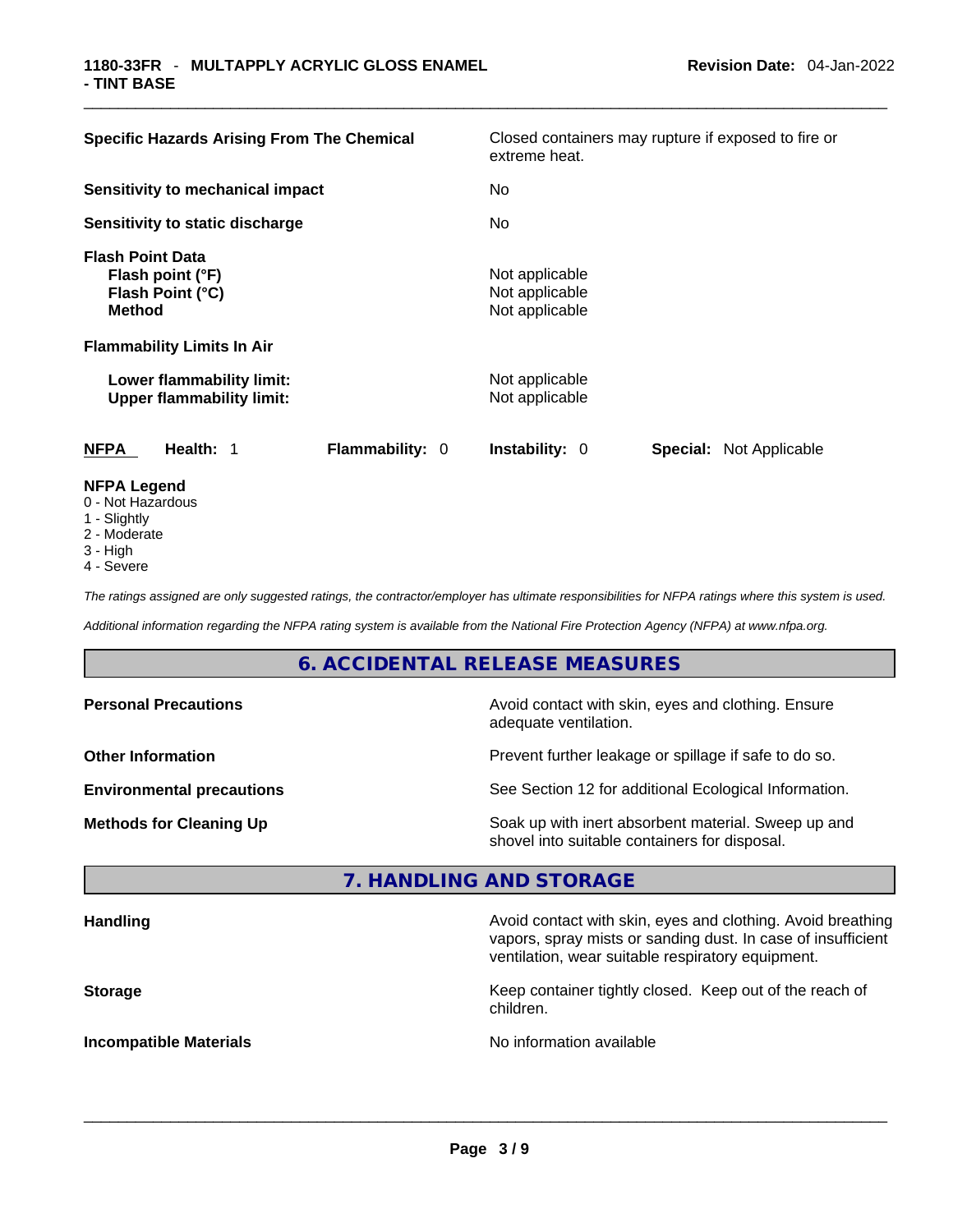| <b>Specific Hazards Arising From The Chemical</b>                                | Closed containers may rupture if exposed to fire or<br>extreme heat. |  |  |
|----------------------------------------------------------------------------------|----------------------------------------------------------------------|--|--|
| Sensitivity to mechanical impact                                                 | No                                                                   |  |  |
| Sensitivity to static discharge                                                  | No                                                                   |  |  |
| <b>Flash Point Data</b><br>Flash point (°F)<br>Flash Point (°C)<br><b>Method</b> | Not applicable<br>Not applicable<br>Not applicable                   |  |  |
| <b>Flammability Limits In Air</b>                                                |                                                                      |  |  |
| Lower flammability limit:<br><b>Upper flammability limit:</b>                    | Not applicable<br>Not applicable                                     |  |  |
| <b>Flammability: 0</b><br><b>NFPA</b><br>Health: 1                               | <b>Instability: 0</b><br><b>Special: Not Applicable</b>              |  |  |
| <b>NFPA Legend</b><br>0 - Not Hazardous                                          |                                                                      |  |  |

- 1 Slightly
- 2 Moderate
- 3 High
- 4 Severe

*The ratings assigned are only suggested ratings, the contractor/employer has ultimate responsibilities for NFPA ratings where this system is used.* 

*Additional information regarding the NFPA rating system is available from the National Fire Protection Agency (NFPA) at www.nfpa.org.* 

# **6. ACCIDENTAL RELEASE MEASURES**

| <b>Personal Precautions</b>      | Avoid contact with skin, eyes and clothing. Ensure<br>adequate ventilation.                          |  |  |
|----------------------------------|------------------------------------------------------------------------------------------------------|--|--|
| <b>Other Information</b>         | Prevent further leakage or spillage if safe to do so.                                                |  |  |
| <b>Environmental precautions</b> | See Section 12 for additional Ecological Information.                                                |  |  |
| <b>Methods for Cleaning Up</b>   | Soak up with inert absorbent material. Sweep up and<br>shovel into suitable containers for disposal. |  |  |

# **7. HANDLING AND STORAGE**

| <b>Handling</b>               | Avoid contact with skin, eyes and clothing. Avoid breathing<br>vapors, spray mists or sanding dust. In case of insufficient<br>ventilation, wear suitable respiratory equipment. |  |
|-------------------------------|----------------------------------------------------------------------------------------------------------------------------------------------------------------------------------|--|
| <b>Storage</b>                | Keep container tightly closed. Keep out of the reach of<br>children.                                                                                                             |  |
| <b>Incompatible Materials</b> | No information available                                                                                                                                                         |  |
|                               |                                                                                                                                                                                  |  |

 $\_$  ,  $\_$  ,  $\_$  ,  $\_$  ,  $\_$  ,  $\_$  ,  $\_$  ,  $\_$  ,  $\_$  ,  $\_$  ,  $\_$  ,  $\_$  ,  $\_$  ,  $\_$  ,  $\_$  ,  $\_$  ,  $\_$  ,  $\_$  ,  $\_$  ,  $\_$  ,  $\_$  ,  $\_$  ,  $\_$  ,  $\_$  ,  $\_$  ,  $\_$  ,  $\_$  ,  $\_$  ,  $\_$  ,  $\_$  ,  $\_$  ,  $\_$  ,  $\_$  ,  $\_$  ,  $\_$  ,  $\_$  ,  $\_$  ,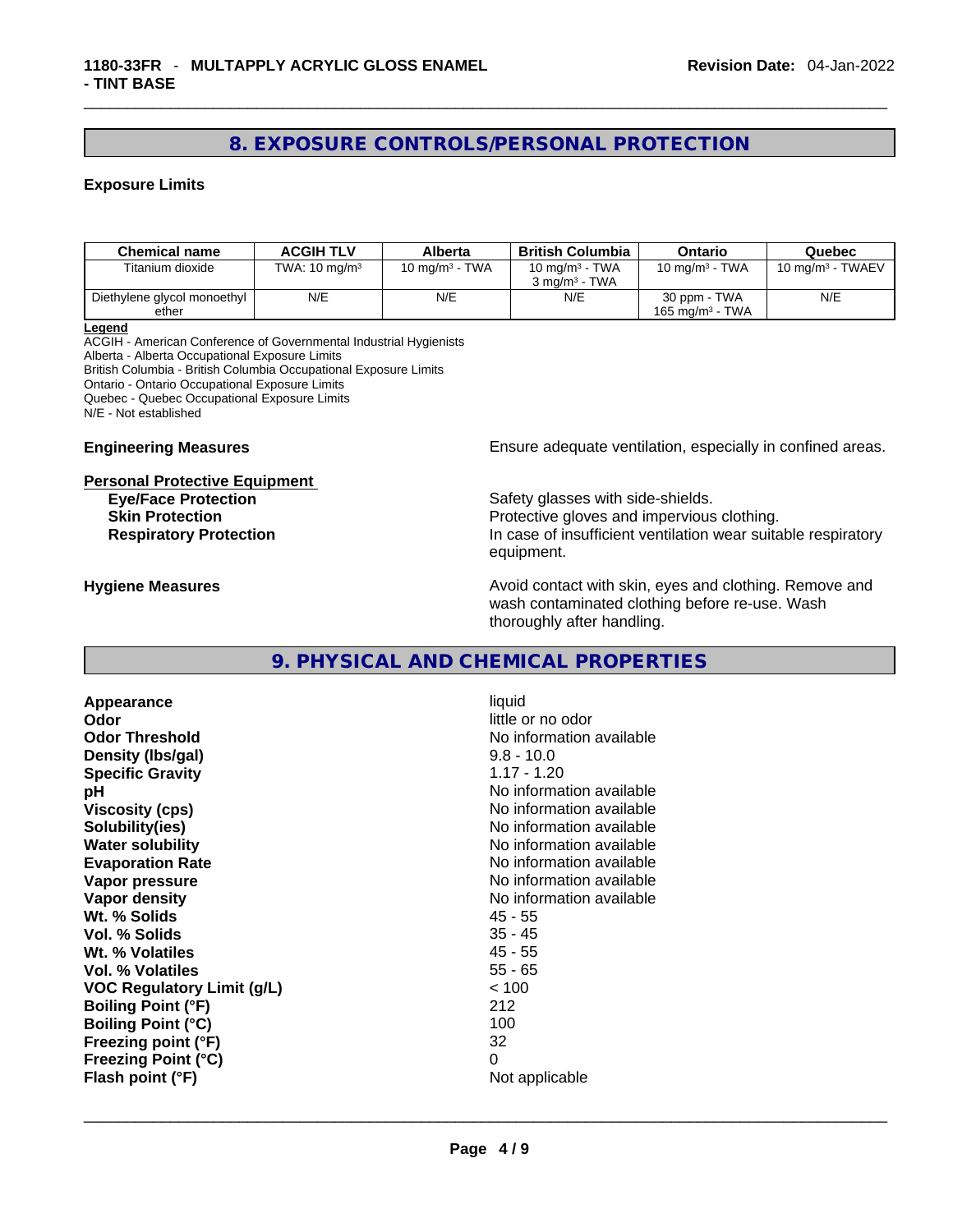# **8. EXPOSURE CONTROLS/PERSONAL PROTECTION**

# **Exposure Limits**

| <b>Chemical name</b>        | <b>ACGIH TLV</b>         | Alberta           | <b>British Columbia</b>  | Ontario            | Quebec                       |
|-----------------------------|--------------------------|-------------------|--------------------------|--------------------|------------------------------|
| Titanium dioxide            | TWA: $10 \text{ mg/m}^3$ | 10 mg/m $3$ - TWA | 10 mg/m $3$ - TWA        | 10 mg/m $3$ - TWA  | 10 mg/m <sup>3</sup> - TWAEV |
|                             |                          |                   | $3 \text{ ma/m}^3$ - TWA |                    |                              |
| Diethylene glycol monoethyl | N/E                      | N/E               | N/E                      | 30 ppm - TWA       | N/E                          |
| ether                       |                          |                   |                          | 165 mg/m $3$ - TWA |                              |

**Legend**

ACGIH - American Conference of Governmental Industrial Hygienists Alberta - Alberta Occupational Exposure Limits British Columbia - British Columbia Occupational Exposure Limits Ontario - Ontario Occupational Exposure Limits Quebec - Quebec Occupational Exposure Limits N/E - Not established

# **Personal Protective Equipment**

**Engineering Measures Ensure** Ensure adequate ventilation, especially in confined areas.

**Eye/Face Protection Safety glasses with side-shields.** Safety glasses with side-shields. **Skin Protection Protection Protective gloves and impervious clothing. Respiratory Protection In case of insufficient ventilation wear suitable respiratory** equipment.

**Hygiene Measures Avoid contact with skin, eyes and clothing. Remove and Avoid contact with skin, eyes and clothing. Remove and Avoid contact with skin, eyes and clothing. Remove and** wash contaminated clothing before re-use. Wash thoroughly after handling.

# **9. PHYSICAL AND CHEMICAL PROPERTIES**

**Appearance** liquid **Odor**<br> **Odor Threshold**<br> **Odor Threshold**<br> **CODOR**<br> **CODOR**<br> **CODOR**<br> **CODOR**<br> **CODOR**<br> **CODOR**<br> **CODOR**<br> **CODOR**<br> **CODOR Density (lbs/gal)** 9.8 - 10.0 **Specific Gravity** 1.17 - 1.20 **pH bH** *pH* **Viscosity (cps) No information available No information available Solubility(ies)** No information available **Water solubility No information available No information available Evaporation Rate Note 2008 No information available Vapor pressure No information available No information available Vapor density No information available No** information available **Wt. % Solids** 45 - 55 **Vol. % Solids** 35 - 45 **Wt. % Volatiles Vol. % Volatiles** 55 - 65 **VOC Regulatory Limit (g/L)** < 100 **Boiling Point (°F)** 212 **Boiling Point (°C)** 100 **Freezing point (°F)** 32 **Freezing Point (°C)** 0

**No information available Flash point (°F)** Not applicable \_\_\_\_\_\_\_\_\_\_\_\_\_\_\_\_\_\_\_\_\_\_\_\_\_\_\_\_\_\_\_\_\_\_\_\_\_\_\_\_\_\_\_\_\_\_\_\_\_\_\_\_\_\_\_\_\_\_\_\_\_\_\_\_\_\_\_\_\_\_\_\_\_\_\_\_\_\_\_\_\_\_\_\_\_\_\_\_\_\_\_\_\_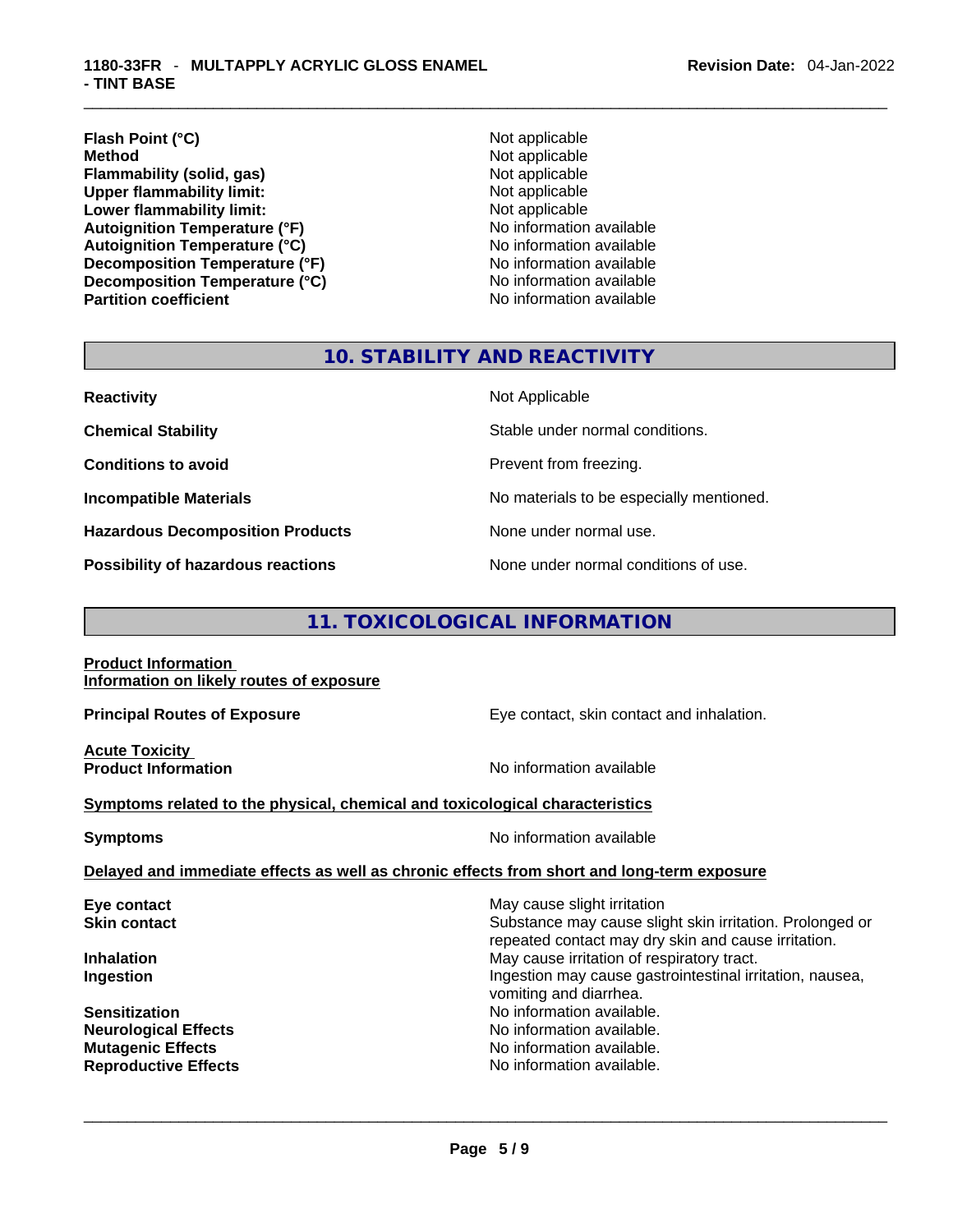# \_\_\_\_\_\_\_\_\_\_\_\_\_\_\_\_\_\_\_\_\_\_\_\_\_\_\_\_\_\_\_\_\_\_\_\_\_\_\_\_\_\_\_\_\_\_\_\_\_\_\_\_\_\_\_\_\_\_\_\_\_\_\_\_\_\_\_\_\_\_\_\_\_\_\_\_\_\_\_\_\_\_\_\_\_\_\_\_\_\_\_\_\_ **1180-33FR** - **MULTAPPLY ACRYLIC GLOSS ENAMEL - TINT BASE**

# **Flash Point (°C)** Not applicable **Method** Not applicable<br> **Flammability (solid, gas)** Not applicable Not applicable **Flammability (solid, gas)**<br> **Upper flammability limit:**<br>
Upper flammability limit:<br>  $\begin{array}{ccc}\n\bullet & \bullet & \bullet \\
\bullet & \bullet & \bullet\n\end{array}$ **Upper flammability limit: Lower flammability limit:**<br> **Autoignition Temperature (°F)** Not applicable Not applicable available **Autoignition Temperature (°F)**<br> **Autoignition Temperature (°C)** No information available **Autoignition Temperature (°C) Decomposition Temperature (°F)**<br> **Decomposition Temperature (°C)** No information available **Decomposition Temperature (°C)**<br>Partition coefficient

**No information available** 

# **10. STABILITY AND REACTIVITY**

| <b>Reactivity</b>                         | Not Applicable                           |
|-------------------------------------------|------------------------------------------|
| <b>Chemical Stability</b>                 | Stable under normal conditions.          |
| <b>Conditions to avoid</b>                | Prevent from freezing.                   |
| <b>Incompatible Materials</b>             | No materials to be especially mentioned. |
| <b>Hazardous Decomposition Products</b>   | None under normal use.                   |
| <b>Possibility of hazardous reactions</b> | None under normal conditions of use.     |

# **11. TOXICOLOGICAL INFORMATION**

#### **Product Information Information on likely routes of exposure**

**Acute Toxicity** 

**Principal Routes of Exposure Exposure** Eye contact, skin contact and inhalation.

**Product Information Information No information available** 

# **<u>Symptoms related to the physical, chemical and toxicological characteristics</u>**

**Symptoms Symptoms No information available** 

# **Delayed and immediate effects as well as chronic effects from short and long-term exposure**

| Eye contact                 | May cause slight irritation                                                                                     |
|-----------------------------|-----------------------------------------------------------------------------------------------------------------|
| <b>Skin contact</b>         | Substance may cause slight skin irritation. Prolonged or<br>repeated contact may dry skin and cause irritation. |
| <b>Inhalation</b>           | May cause irritation of respiratory tract.                                                                      |
| Ingestion                   | Ingestion may cause gastrointestinal irritation, nausea,<br>vomiting and diarrhea.                              |
| <b>Sensitization</b>        | No information available.                                                                                       |
| <b>Neurological Effects</b> | No information available.                                                                                       |
| <b>Mutagenic Effects</b>    | No information available.                                                                                       |
| <b>Reproductive Effects</b> | No information available.                                                                                       |
|                             |                                                                                                                 |
|                             |                                                                                                                 |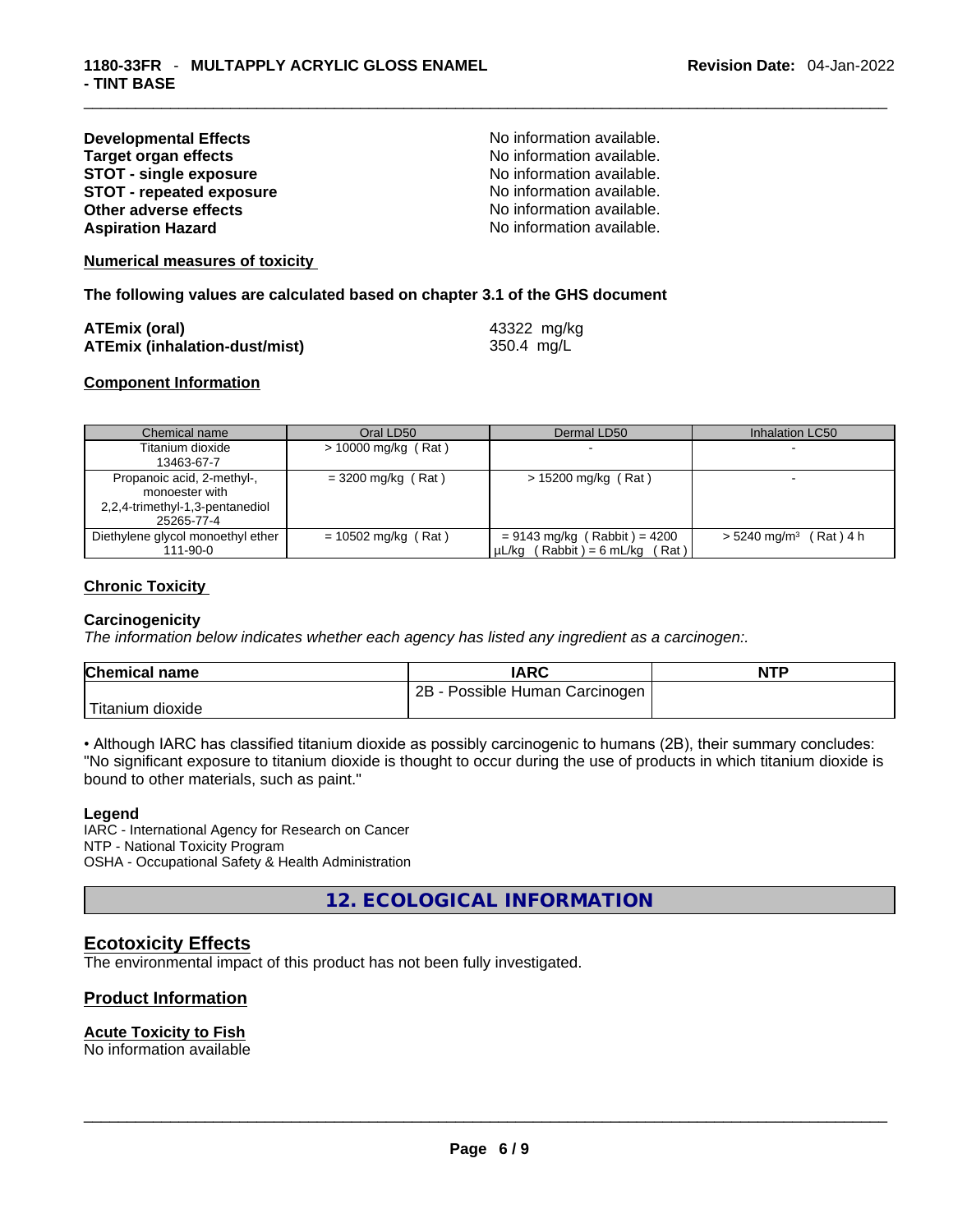| <b>Developmental Effects</b>    |
|---------------------------------|
| <b>Target organ effects</b>     |
| <b>STOT - single exposure</b>   |
| <b>STOT - repeated exposure</b> |
| <b>Other adverse effects</b>    |
| <b>Aspiration Hazard</b>        |

No information available. **No information available. STOT - single exposure** No information available. **STOT - repeated exposure** No information available. No information available. No information available.

#### **Numerical measures of toxicity**

**The following values are calculated based on chapter 3.1 of the GHS document**

| <b>ATEmix (oral)</b>                 | 43322 mg/kg |
|--------------------------------------|-------------|
| <b>ATEmix (inhalation-dust/mist)</b> | 350.4 mg/L  |

### **Component Information**

| Chemical name                                 | Oral LD50             | Dermal LD50                                                           | Inhalation LC50                      |
|-----------------------------------------------|-----------------------|-----------------------------------------------------------------------|--------------------------------------|
| Titanium dioxide                              | $> 10000$ mg/kg (Rat) |                                                                       |                                      |
| 13463-67-7                                    |                       |                                                                       |                                      |
| Propanoic acid, 2-methyl-,<br>monoester with  | $=$ 3200 mg/kg (Rat)  | $> 15200$ mg/kg (Rat)                                                 |                                      |
| 2,2,4-trimethyl-1,3-pentanediol<br>25265-77-4 |                       |                                                                       |                                      |
| Diethylene glycol monoethyl ether<br>111-90-0 | $= 10502$ mg/kg (Rat) | $= 9143$ mg/kg (Rabbit) = 4200<br>$\mu L/kg$ (Rabbit) = 6 mL/kg (Rat) | $> 5240$ mg/m <sup>3</sup> (Rat) 4 h |

### **Chronic Toxicity**

#### **Carcinogenicity**

*The information below indicates whether each agency has listed any ingredient as a carcinogen:.* 

| <b>Chemical name</b> | IARC                           | <b>NTP</b> |
|----------------------|--------------------------------|------------|
|                      | 2B - Possible Human Carcinogen |            |
| Titanium dioxide     |                                |            |

• Although IARC has classified titanium dioxide as possibly carcinogenic to humans (2B), their summary concludes: "No significant exposure to titanium dioxide is thought to occur during the use of products in which titanium dioxide is bound to other materials, such as paint."

#### **Legend**

IARC - International Agency for Research on Cancer NTP - National Toxicity Program OSHA - Occupational Safety & Health Administration

**12. ECOLOGICAL INFORMATION** 

# **Ecotoxicity Effects**

The environmental impact of this product has not been fully investigated.

# **Product Information**

### **Acute Toxicity to Fish**

No information available \_\_\_\_\_\_\_\_\_\_\_\_\_\_\_\_\_\_\_\_\_\_\_\_\_\_\_\_\_\_\_\_\_\_\_\_\_\_\_\_\_\_\_\_\_\_\_\_\_\_\_\_\_\_\_\_\_\_\_\_\_\_\_\_\_\_\_\_\_\_\_\_\_\_\_\_\_\_\_\_\_\_\_\_\_\_\_\_\_\_\_\_\_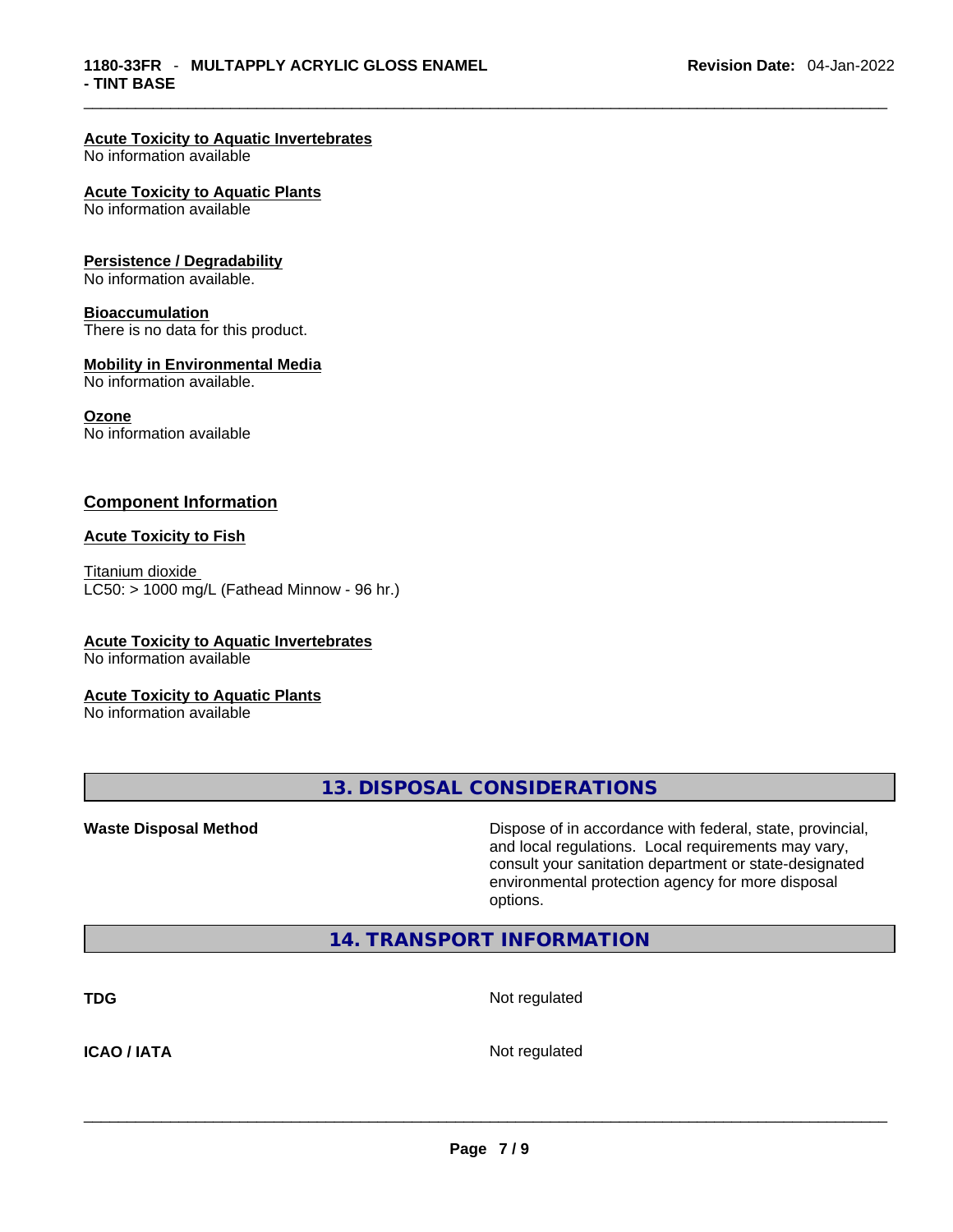# **Acute Toxicity to Aquatic Invertebrates**

No information available

#### **Acute Toxicity to Aquatic Plants**

No information available

#### **Persistence / Degradability**

No information available.

#### **Bioaccumulation**

There is no data for this product.

### **Mobility in Environmental Media**

No information available.

#### **Ozone**

No information available

### **Component Information**

#### **Acute Toxicity to Fish**

Titanium dioxide  $LC50:$  > 1000 mg/L (Fathead Minnow - 96 hr.)

# **Acute Toxicity to Aquatic Invertebrates**

No information available

#### **Acute Toxicity to Aquatic Plants**

No information available

**13. DISPOSAL CONSIDERATIONS** 

**Waste Disposal Method** Dispose of in accordance with federal, state, provincial, and local regulations. Local requirements may vary, consult your sanitation department or state-designated environmental protection agency for more disposal options.

# **14. TRANSPORT INFORMATION**

**TDG** Not regulated

**ICAO / IATA** Not regulated \_\_\_\_\_\_\_\_\_\_\_\_\_\_\_\_\_\_\_\_\_\_\_\_\_\_\_\_\_\_\_\_\_\_\_\_\_\_\_\_\_\_\_\_\_\_\_\_\_\_\_\_\_\_\_\_\_\_\_\_\_\_\_\_\_\_\_\_\_\_\_\_\_\_\_\_\_\_\_\_\_\_\_\_\_\_\_\_\_\_\_\_\_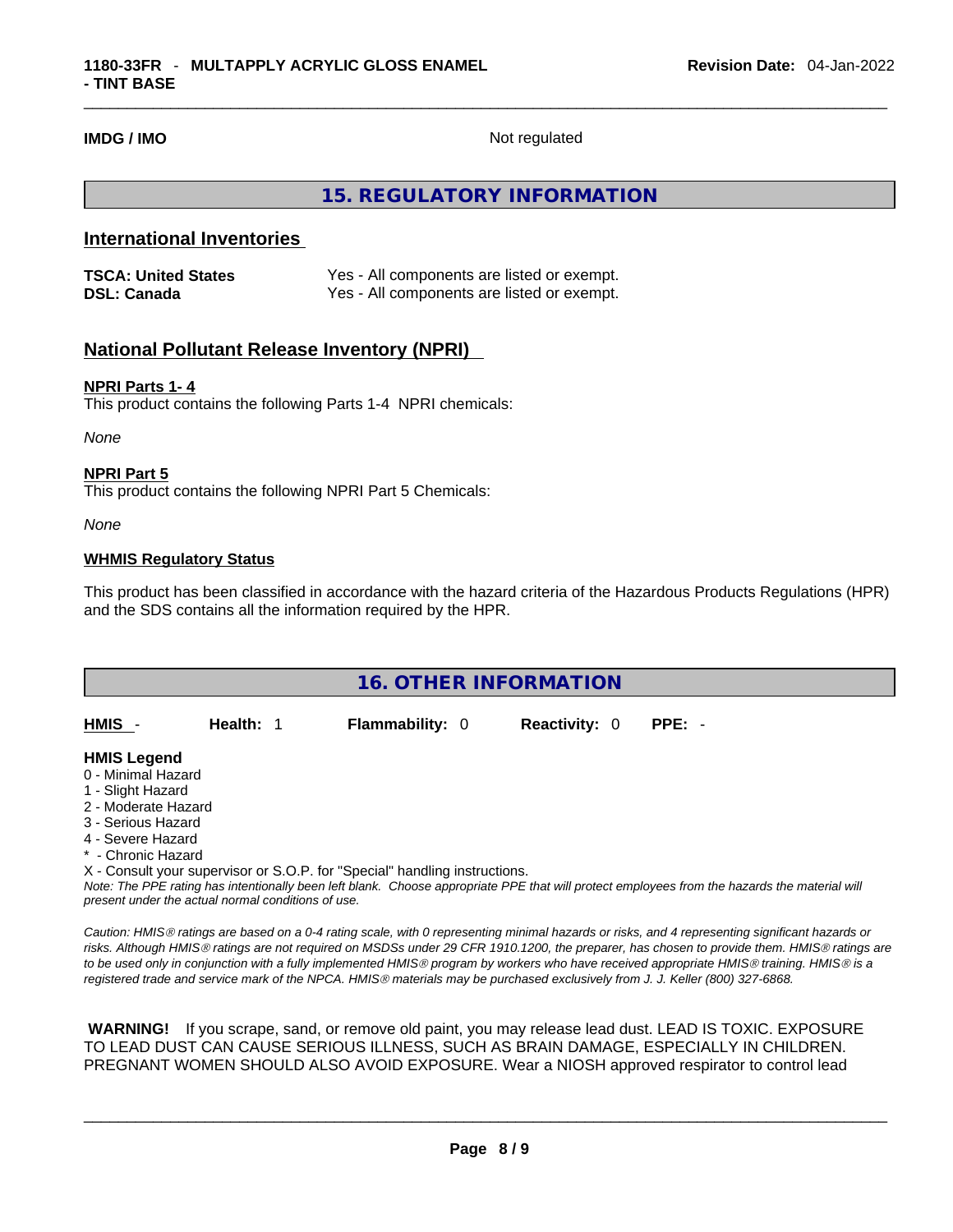**IMDG / IMO** Not regulated

# **15. REGULATORY INFORMATION**

# **International Inventories**

| <b>TSCA: United States</b> | Yes - All components are listed or exempt. |
|----------------------------|--------------------------------------------|
| <b>DSL: Canada</b>         | Yes - All components are listed or exempt. |

# **National Pollutant Release Inventory (NPRI)**

# **NPRI Parts 1- 4**

This product contains the following Parts 1-4 NPRI chemicals:

*None*

#### **NPRI Part 5**

This product contains the following NPRI Part 5 Chemicals:

*None*

### **WHMIS Regulatory Status**

This product has been classified in accordance with the hazard criteria of the Hazardous Products Regulations (HPR) and the SDS contains all the information required by the HPR.

| <b>16. OTHER INFORMATION</b>                                                                                                                          |           |                                                                            |                      |                                                                                                                                               |  |
|-------------------------------------------------------------------------------------------------------------------------------------------------------|-----------|----------------------------------------------------------------------------|----------------------|-----------------------------------------------------------------------------------------------------------------------------------------------|--|
| HMIS -                                                                                                                                                | Health: 1 | <b>Flammability: 0</b>                                                     | <b>Reactivity: 0</b> | $PPE: -$                                                                                                                                      |  |
| <b>HMIS Legend</b><br>0 - Minimal Hazard<br>1 - Slight Hazard<br>2 - Moderate Hazard<br>3 - Serious Hazard<br>4 - Severe Hazard<br>* - Chronic Hazard |           |                                                                            |                      |                                                                                                                                               |  |
|                                                                                                                                                       |           | X - Consult your supervisor or S.O.P. for "Special" handling instructions. |                      |                                                                                                                                               |  |
|                                                                                                                                                       |           |                                                                            |                      | Note: The PPF rating has intentionally been left blank. Choose appropriate PPF that will protect employees from the hazards the material will |  |

Note: The PPE rating has intentionally been left blank. Choose appropriate PPE that will protect employees from the hazards the material will *present under the actual normal conditions of use.* 

*Caution: HMISÒ ratings are based on a 0-4 rating scale, with 0 representing minimal hazards or risks, and 4 representing significant hazards or risks. Although HMISÒ ratings are not required on MSDSs under 29 CFR 1910.1200, the preparer, has chosen to provide them. HMISÒ ratings are to be used only in conjunction with a fully implemented HMISÒ program by workers who have received appropriate HMISÒ training. HMISÒ is a registered trade and service mark of the NPCA. HMISÒ materials may be purchased exclusively from J. J. Keller (800) 327-6868.* 

 **WARNING!** If you scrape, sand, or remove old paint, you may release lead dust. LEAD IS TOXIC. EXPOSURE TO LEAD DUST CAN CAUSE SERIOUS ILLNESS, SUCH AS BRAIN DAMAGE, ESPECIALLY IN CHILDREN. PREGNANT WOMEN SHOULD ALSO AVOID EXPOSURE.Wear a NIOSH approved respirator to control lead

 $\_$  ,  $\_$  ,  $\_$  ,  $\_$  ,  $\_$  ,  $\_$  ,  $\_$  ,  $\_$  ,  $\_$  ,  $\_$  ,  $\_$  ,  $\_$  ,  $\_$  ,  $\_$  ,  $\_$  ,  $\_$  ,  $\_$  ,  $\_$  ,  $\_$  ,  $\_$  ,  $\_$  ,  $\_$  ,  $\_$  ,  $\_$  ,  $\_$  ,  $\_$  ,  $\_$  ,  $\_$  ,  $\_$  ,  $\_$  ,  $\_$  ,  $\_$  ,  $\_$  ,  $\_$  ,  $\_$  ,  $\_$  ,  $\_$  ,